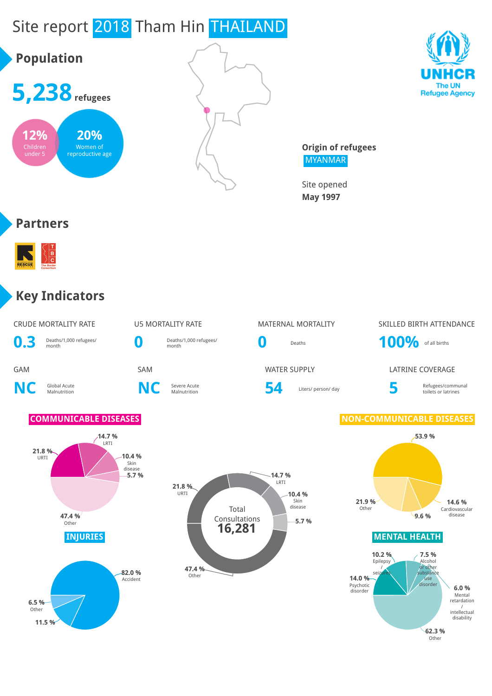

**62.3 %** Other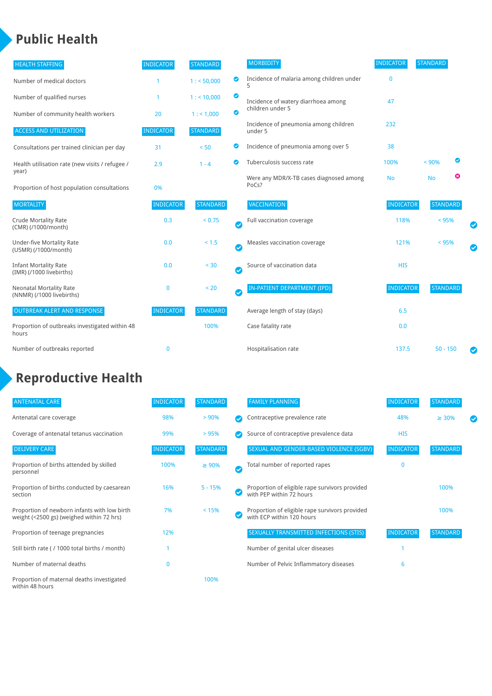### **Public Health**

| <b>HEALTH STAFFING</b>                                      | <b>INDICATOR</b> | <b>STANDARD</b> |                       | <b>MORBIDITY</b>                                 | <b>INDICATOR</b> | <b>STANDARD</b> |   |
|-------------------------------------------------------------|------------------|-----------------|-----------------------|--------------------------------------------------|------------------|-----------------|---|
| Number of medical doctors                                   |                  | 1: 50,000       | ◎                     | Incidence of malaria among children under        | $\mathbf{0}$     |                 |   |
| Number of qualified nurses                                  |                  | $1:$ < 10,000   | ◙                     | Incidence of watery diarrhoea among              | 47               |                 |   |
| Number of community health workers                          | 20               | 1: 1,000        | ◙                     | children under 5                                 |                  |                 |   |
| <b>ACCESS AND UTILIZATION</b>                               | <b>INDICATOR</b> | <b>STANDARD</b> |                       | Incidence of pneumonia among children<br>under 5 | 232              |                 |   |
| Consultations per trained clinician per day                 | 31               | < 50            | ◙                     | Incidence of pneumonia among over 5              | 38               |                 |   |
| Health utilisation rate (new visits / refugee /             | 2.9              | $1 - 4$         | $\bullet$             | Tuberculosis success rate                        | 100%             | < 90%           | ◙ |
| year)<br>Proportion of host population consultations        | 0%               |                 |                       | Were any MDR/X-TB cases diagnosed among<br>PoCs? | <b>No</b>        | <b>No</b>       | ೞ |
| <b>MORTALITY</b>                                            | <b>INDICATOR</b> | <b>STANDARD</b> |                       | <b>VACCINATION</b>                               | <b>INDICATOR</b> | <b>STANDARD</b> |   |
| <b>Crude Mortality Rate</b><br>(CMR) (/1000/month)          | 0.3              | < 0.75          | Ø                     | Full vaccination coverage                        | 118%             | < 95%           |   |
| <b>Under-five Mortality Rate</b><br>(U5MR) (/1000/month)    | 0.0              | $< 1.5$         | Ø                     | Measles vaccination coverage                     | 121%             | < 95%           |   |
| <b>Infant Mortality Rate</b><br>(IMR) (/1000 livebirths)    | 0.0              | < 30            | $\boldsymbol{\omega}$ | Source of vaccination data                       | <b>HIS</b>       |                 |   |
| <b>Neonatal Mortality Rate</b><br>(NNMR) (/1000 livebirths) | $\mathbf 0$      | < 20            | Ø                     | <b>IN-PATIENT DEPARTMENT (IPD)</b>               | <b>INDICATOR</b> | <b>STANDARD</b> |   |
| <b>OUTBREAK ALERT AND RESPONSE</b>                          | <b>INDICATOR</b> | <b>STANDARD</b> |                       | Average length of stay (days)                    | 6.5              |                 |   |
| Proportion of outbreaks investigated within 48<br>hours     |                  | 100%            |                       | Case fatality rate                               | 0.0              |                 |   |
| Number of outbreaks reported                                | $\mathbf 0$      |                 |                       | Hospitalisation rate                             | 137.5            | $50 - 150$      |   |

# **Reproductive Health**

| <b>ANTENATAL CARE</b>                                                                     | <b>INDICATOR</b> | <b>STANDARD</b> | <b>FAMILY PLANNING</b>                                                      | <b>INDICATOR</b> | <b>STANDARD</b> |  |
|-------------------------------------------------------------------------------------------|------------------|-----------------|-----------------------------------------------------------------------------|------------------|-----------------|--|
| Antenatal care coverage                                                                   | 98%              | > 90%           | Contraceptive prevalence rate                                               | 48%              | $\geq 30\%$     |  |
| Coverage of antenatal tetanus vaccination                                                 | 99%              | >95%            | Source of contraceptive prevalence data                                     | <b>HIS</b>       |                 |  |
| <b>DELIVERY CARE</b>                                                                      | <b>INDICATOR</b> | <b>STANDARD</b> | SEXUAL AND GENDER-BASED VIOLENCE (SGBV)                                     | <b>INDICATOR</b> | <b>STANDARD</b> |  |
| Proportion of births attended by skilled<br>personnel                                     | 100%             | $\geq 90\%$     | Total number of reported rapes                                              | n                |                 |  |
| Proportion of births conducted by caesarean<br>section                                    | 16%              | $5 - 15%$       | Proportion of eligible rape survivors provided<br>with PEP within 72 hours  |                  | 100%            |  |
| Proportion of newborn infants with low birth<br>weight (<2500 gs) (weighed within 72 hrs) | 7%               | < 15%           | Proportion of eligible rape survivors provided<br>with ECP within 120 hours |                  | 100%            |  |
| Proportion of teenage pregnancies                                                         | 12%              |                 | SEXUALLY TRANSMITTED INFECTIONS (STIS)                                      | <b>INDICATOR</b> | <b>STANDARD</b> |  |
| Still birth rate (/ 1000 total births / month)                                            |                  |                 | Number of genital ulcer diseases                                            |                  |                 |  |
| Number of maternal deaths                                                                 | 0                |                 | Number of Pelvic Inflammatory diseases                                      | 6                |                 |  |
| Proportion of maternal deaths investigated<br>within 48 hours                             |                  | 100%            |                                                                             |                  |                 |  |